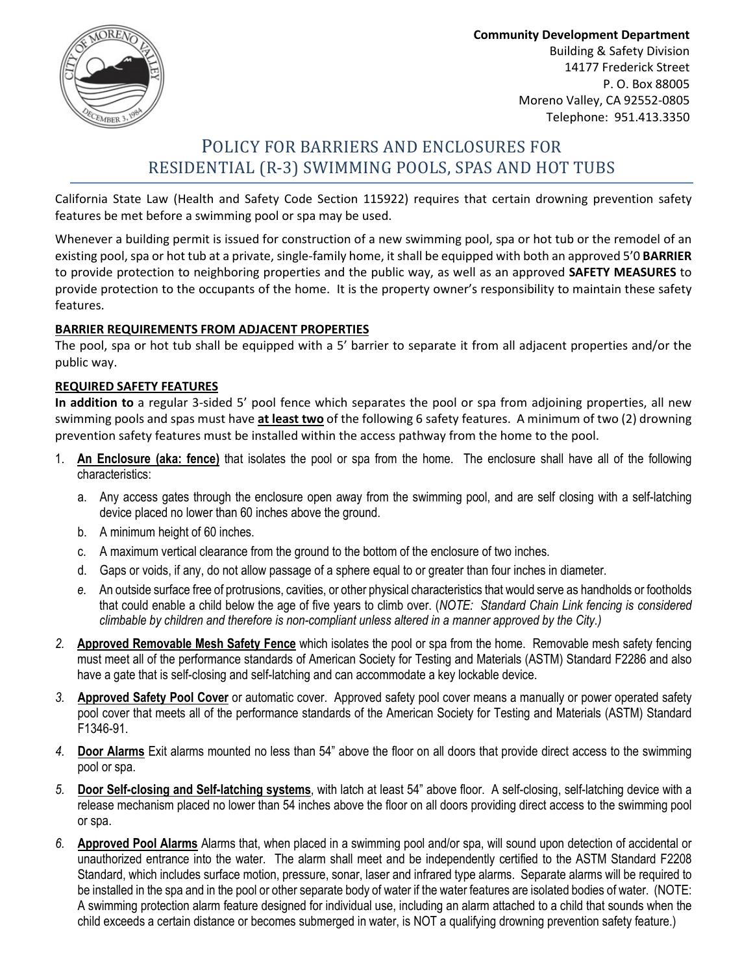

Community Development Department Building & Safety Division 14177 Frederick Street P. O. Box 88005 Moreno Valley, CA 92552-0805 Telephone: 951.413.3350

# POLICY FOR BARRIERS AND ENCLOSURES FOR RESIDENTIAL (R-3) SWIMMING POOLS, SPAS AND HOT TUBS

California State Law (Health and Safety Code Section 115922) requires that certain drowning prevention safety features be met before a swimming pool or spa may be used.

Whenever a building permit is issued for construction of a new swimming pool, spa or hot tub or the remodel of an existing pool, spa or hot tub at a private, single-family home, it shall be equipped with both an approved 5'0 BARRIER to provide protection to neighboring properties and the public way, as well as an approved SAFETY MEASURES to provide protection to the occupants of the home. It is the property owner's responsibility to maintain these safety features.

## BARRIER REQUIREMENTS FROM ADJACENT PROPERTIES

The pool, spa or hot tub shall be equipped with a 5' barrier to separate it from all adjacent properties and/or the public way.

## REQUIRED SAFETY FEATURES

In addition to a regular 3-sided 5' pool fence which separates the pool or spa from adjoining properties, all new swimming pools and spas must have at least two of the following 6 safety features. A minimum of two (2) drowning prevention safety features must be installed within the access pathway from the home to the pool.

- 1. An Enclosure (aka: fence) that isolates the pool or spa from the home. The enclosure shall have all of the following characteristics:
	- a. Any access gates through the enclosure open away from the swimming pool, and are self closing with a self-latching device placed no lower than 60 inches above the ground.
	- b. A minimum height of 60 inches.
	- c. A maximum vertical clearance from the ground to the bottom of the enclosure of two inches.
	- d. Gaps or voids, if any, do not allow passage of a sphere equal to or greater than four inches in diameter.
	- e. An outside surface free of protrusions, cavities, or other physical characteristics that would serve as handholds or footholds that could enable a child below the age of five years to climb over. (NOTE: Standard Chain Link fencing is considered climbable by children and therefore is non-compliant unless altered in a manner approved by the City.)
- 2. Approved Removable Mesh Safety Fence which isolates the pool or spa from the home. Removable mesh safety fencing must meet all of the performance standards of American Society for Testing and Materials (ASTM) Standard F2286 and also have a gate that is self-closing and self-latching and can accommodate a key lockable device.
- 3. Approved Safety Pool Cover or automatic cover. Approved safety pool cover means a manually or power operated safety pool cover that meets all of the performance standards of the American Society for Testing and Materials (ASTM) Standard F1346-91.
- 4. Door Alarms Exit alarms mounted no less than 54" above the floor on all doors that provide direct access to the swimming pool or spa.
- 5. Door Self-closing and Self-latching systems, with latch at least 54" above floor. A self-closing, self-latching device with a release mechanism placed no lower than 54 inches above the floor on all doors providing direct access to the swimming pool or spa.
- 6. Approved Pool Alarms Alarms that, when placed in a swimming pool and/or spa, will sound upon detection of accidental or unauthorized entrance into the water. The alarm shall meet and be independently certified to the ASTM Standard F2208 Standard, which includes surface motion, pressure, sonar, laser and infrared type alarms. Separate alarms will be required to be installed in the spa and in the pool or other separate body of water if the water features are isolated bodies of water. (NOTE: A swimming protection alarm feature designed for individual use, including an alarm attached to a child that sounds when the child exceeds a certain distance or becomes submerged in water, is NOT a qualifying drowning prevention safety feature.)